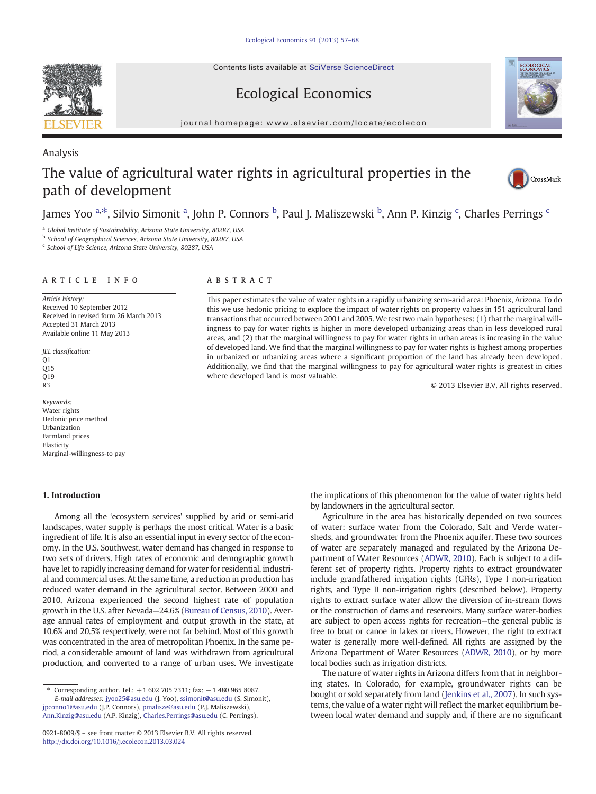Contents lists available at SciVerse ScienceDirect

# Ecological Economics

journal homepage: www.elsevier.com/locate/ecolecon

# The value of agricultural water rights in agricultural properties in the path of development

James Yoo <sup>a,\*</sup>, Silvio Simonit <sup>a</sup>, John P. Connors <sup>b</sup>, Paul J. Maliszewski <sup>b</sup>, Ann P. Kinzig <sup>c</sup>, Charles Perrings <sup>c</sup>

<sup>a</sup> Global Institute of Sustainability, Arizona State University, 80287, USA

<sup>b</sup> School of Geographical Sciences, Arizona State University, 80287, USA

<sup>c</sup> School of Life Science, Arizona State University, 80287, USA

#### article info abstract

Article history: Received 10 September 2012 Received in revised form 26 March 2013 Accepted 31 March 2013 Available online 11 May 2013

JEL classification: Q1 Q15 O<sub>19</sub> R3

Keywords: Water rights Hedonic price method Urbanization Farmland prices Elasticity Marginal-willingness-to pay

# 1. Introduction

Among all the 'ecosystem services' supplied by arid or semi-arid landscapes, water supply is perhaps the most critical. Water is a basic ingredient of life. It is also an essential input in every sector of the economy. In the U.S. Southwest, water demand has changed in response to two sets of drivers. High rates of economic and demographic growth have let to rapidly increasing demand for water for residential, industrial and commercial uses. At the same time, a reduction in production has reduced water demand in the agricultural sector. Between 2000 and 2010, Arizona experienced the second highest rate of population growth in the U.S. after Nevada—24.6% ([Bureau of Census, 2010\)](#page-10-0). Average annual rates of employment and output growth in the state, at 10.6% and 20.5% respectively, were not far behind. Most of this growth was concentrated in the area of metropolitan Phoenix. In the same period, a considerable amount of land was withdrawn from agricultural production, and converted to a range of urban uses. We investigate

This paper estimates the value of water rights in a rapidly urbanizing semi-arid area: Phoenix, Arizona. To do this we use hedonic pricing to explore the impact of water rights on property values in 151 agricultural land transactions that occurred between 2001 and 2005. We test two main hypotheses: (1) that the marginal willingness to pay for water rights is higher in more developed urbanizing areas than in less developed rural areas, and (2) that the marginal willingness to pay for water rights in urban areas is increasing in the value of developed land. We find that the marginal willingness to pay for water rights is highest among properties in urbanized or urbanizing areas where a significant proportion of the land has already been developed. Additionally, we find that the marginal willingness to pay for agricultural water rights is greatest in cities where developed land is most valuable.

© 2013 Elsevier B.V. All rights reserved.

the implications of this phenomenon for the value of water rights held by landowners in the agricultural sector.

Agriculture in the area has historically depended on two sources of water: surface water from the Colorado, Salt and Verde watersheds, and groundwater from the Phoenix aquifer. These two sources of water are separately managed and regulated by the Arizona Department of Water Resources [\(ADWR, 2010](#page-10-0)). Each is subject to a different set of property rights. Property rights to extract groundwater include grandfathered irrigation rights (GFRs), Type I non-irrigation rights, and Type II non-irrigation rights (described below). Property rights to extract surface water allow the diversion of in-stream flows or the construction of dams and reservoirs. Many surface water-bodies are subject to open access rights for recreation—the general public is free to boat or canoe in lakes or rivers. However, the right to extract water is generally more well-defined. All rights are assigned by the Arizona Department of Water Resources ([ADWR, 2010](#page-10-0)), or by more local bodies such as irrigation districts.

The nature of water rights in Arizona differs from that in neighboring states. In Colorado, for example, groundwater rights can be bought or sold separately from land ([Jenkins et al., 2007](#page-10-0)). In such systems, the value of a water right will reflect the market equilibrium between local water demand and supply and, if there are no significant



Analysis



CrossMark

<sup>⁎</sup> Corresponding author. Tel.: +1 602 705 7311; fax: +1 480 965 8087. E-mail addresses: [jyoo25@asu.edu](mailto:jyoo25@asu.edu) (J. Yoo), [ssimonit@asu.edu](mailto:ssimonit@asu.edu) (S. Simonit), [jpconno1@asu.edu](mailto:jpconno1@asu.edu) (J.P. Connors), [pmalisze@asu.edu](mailto:pmalisze@asu.edu) (P.J. Maliszewski), [Ann.Kinzig@asu.edu](mailto:Ann.Kinzig@asu.edu) (A.P. Kinzig), [Charles.Perrings@asu.edu](mailto:Charles.Perrings@asu.edu) (C. Perrings).

<sup>0921-8009/\$</sup> – see front matter © 2013 Elsevier B.V. All rights reserved. <http://dx.doi.org/10.1016/j.ecolecon.2013.03.024>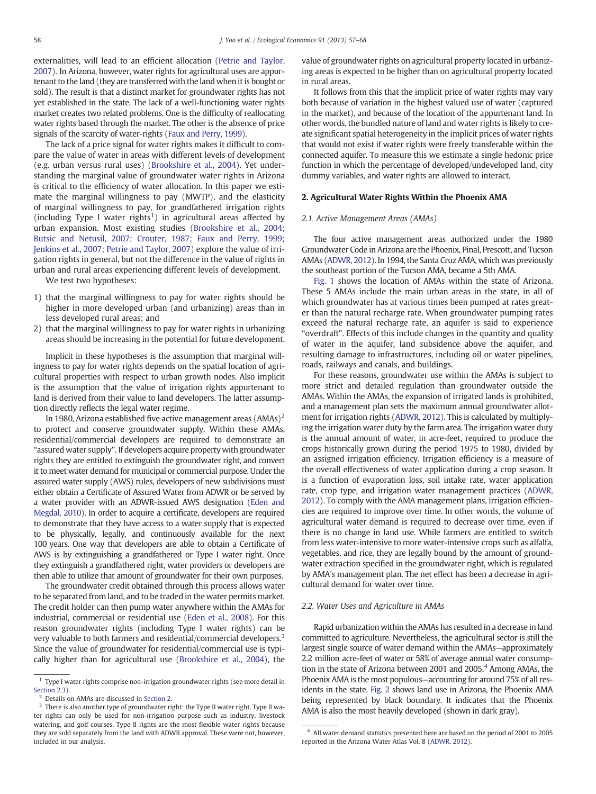externalities, will lead to an efficient allocation [\(Petrie and Taylor,](#page-10-0) [2007\)](#page-10-0). In Arizona, however, water rights for agricultural uses are appurtenant to the land (they are transferred with the land when it is bought or sold). The result is that a distinct market for groundwater rights has not yet established in the state. The lack of a well-functioning water rights market creates two related problems. One is the difficulty of reallocating water rights based through the market. The other is the absence of price signals of the scarcity of water-rights [\(Faux and Perry, 1999\)](#page-10-0).

The lack of a price signal for water rights makes it difficult to compare the value of water in areas with different levels of development (e.g. urban versus rural uses) [\(Brookshire et al., 2004\)](#page-10-0). Yet understanding the marginal value of groundwater water rights in Arizona is critical to the efficiency of water allocation. In this paper we estimate the marginal willingness to pay (MWTP), and the elasticity of marginal willingness to pay, for grandfathered irrigation rights  $(including Type I water rights<sup>1</sup>)$  in agricultural areas affected by urban expansion. Most existing studies ([Brookshire et al., 2004;](#page-10-0) [Butsic and Netusil, 2007; Crouter, 1987; Faux and Perry, 1999;](#page-10-0) [Jenkins et al., 2007; Petrie and Taylor, 2007\)](#page-10-0) explore the value of irrigation rights in general, but not the difference in the value of rights in urban and rural areas experiencing different levels of development.

We test two hypotheses:

- 1) that the marginal willingness to pay for water rights should be higher in more developed urban (and urbanizing) areas than in less developed rural areas; and
- 2) that the marginal willingness to pay for water rights in urbanizing areas should be increasing in the potential for future development.

Implicit in these hypotheses is the assumption that marginal willingness to pay for water rights depends on the spatial location of agricultural properties with respect to urban growth nodes. Also implicit is the assumption that the value of irrigation rights appurtenant to land is derived from their value to land developers. The latter assumption directly reflects the legal water regime.

In 1980, Arizona established five active management areas  $(AMAs)^2$ to protect and conserve groundwater supply. Within these AMAs, residential/commercial developers are required to demonstrate an "assured water supply". If developers acquire property with groundwater rights they are entitled to extinguish the groundwater right, and convert it to meet water demand for municipal or commercial purpose. Under the assured water supply (AWS) rules, developers of new subdivisions must either obtain a Certificate of Assured Water from ADWR or be served by a water provider with an ADWR-issued AWS designation [\(Eden and](#page-10-0) [Megdal, 2010](#page-10-0)). In order to acquire a certificate, developers are required to demonstrate that they have access to a water supply that is expected to be physically, legally, and continuously available for the next 100 years. One way that developers are able to obtain a Certificate of AWS is by extinguishing a grandfathered or Type I water right. Once they extinguish a grandfathered right, water providers or developers are then able to utilize that amount of groundwater for their own purposes.

The groundwater credit obtained through this process allows water to be separated from land, and to be traded in the water permits market. The credit holder can then pump water anywhere within the AMAs for industrial, commercial or residential use [\(Eden et al., 2008\)](#page-10-0). For this reason groundwater rights (including Type I water rights) can be very valuable to both farmers and residential/commercial developers.<sup>3</sup> Since the value of groundwater for residential/commercial use is typically higher than for agricultural use [\(Brookshire et al., 2004](#page-10-0)), the value of groundwater rights on agricultural property located in urbanizing areas is expected to be higher than on agricultural property located in rural areas.

It follows from this that the implicit price of water rights may vary both because of variation in the highest valued use of water (captured in the market), and because of the location of the appurtenant land. In other words, the bundled nature of land and water rights is likely to create significant spatial heterogeneity in the implicit prices of water rights that would not exist if water rights were freely transferable within the connected aquifer. To measure this we estimate a single hedonic price function in which the percentage of developed/undeveloped land, city dummy variables, and water rights are allowed to interact.

# 2. Agricultural Water Rights Within the Phoenix AMA

### 2.1. Active Management Areas (AMAs)

The four active management areas authorized under the 1980 Groundwater Code in Arizona are the Phoenix, Pinal, Prescott, and Tucson AMAs [\(ADWR, 2012](#page-10-0)). In 1994, the Santa Cruz AMA, which was previously the southeast portion of the Tucson AMA, became a 5th AMA.

[Fig. 1](#page-2-0) shows the location of AMAs within the state of Arizona. These 5 AMAs include the main urban areas in the state, in all of which groundwater has at various times been pumped at rates greater than the natural recharge rate. When groundwater pumping rates exceed the natural recharge rate, an aquifer is said to experience "overdraft". Effects of this include changes in the quantity and quality of water in the aquifer, land subsidence above the aquifer, and resulting damage to infrastructures, including oil or water pipelines, roads, railways and canals, and buildings.

For these reasons, groundwater use within the AMAs is subject to more strict and detailed regulation than groundwater outside the AMAs. Within the AMAs, the expansion of irrigated lands is prohibited, and a management plan sets the maximum annual groundwater allotment for irrigation rights [\(ADWR, 2012](#page-10-0)). This is calculated by multiplying the irrigation water duty by the farm area. The irrigation water duty is the annual amount of water, in acre-feet, required to produce the crops historically grown during the period 1975 to 1980, divided by an assigned irrigation efficiency. Irrigation efficiency is a measure of the overall effectiveness of water application during a crop season. It is a function of evaporation loss, soil intake rate, water application rate, crop type, and irrigation water management practices [\(ADWR,](#page-10-0) [2012\)](#page-10-0). To comply with the AMA management plans, irrigation efficiencies are required to improve over time. In other words, the volume of agricultural water demand is required to decrease over time, even if there is no change in land use. While farmers are entitled to switch from less water-intensive to more water-intensive crops such as alfalfa, vegetables, and rice, they are legally bound by the amount of groundwater extraction specified in the groundwater right, which is regulated by AMA's management plan. The net effect has been a decrease in agricultural demand for water over time.

#### 2.2. Water Uses and Agriculture in AMAs

Rapid urbanization within the AMAs has resulted in a decrease in land committed to agriculture. Nevertheless, the agricultural sector is still the largest single source of water demand within the AMAs—approximately 2.2 million acre-feet of water or 58% of average annual water consumption in the state of Arizona between 2001 and  $2005<sup>4</sup>$  Among AMAs, the Phoenix AMA is the most populous—accounting for around 75% of all residents in the state. [Fig. 2](#page-3-0) shows land use in Arizona, the Phoenix AMA being represented by black boundary. It indicates that the Phoenix AMA is also the most heavily developed (shown in dark gray).

 $^{\rm 1}$  Type I water rights comprise non-irrigation groundwater rights (see more detail in [Section 2.3\)](#page-2-0).

<sup>2</sup> Details on AMAs are discussed in Section 2.

<sup>&</sup>lt;sup>3</sup> There is also another type of groundwater right: the Type II water right. Type II water rights can only be used for non-irrigation purpose such as industry, livestock watering, and golf courses. Type II rights are the most flexible water rights because they are sold separately from the land with ADWR approval. These were not, however, included in our analysis.

<sup>4</sup> All water demand statistics presented here are based on the period of 2001 to 2005 reported in the Arizona Water Atlas Vol. 8 [\(ADWR, 2012](#page-10-0)).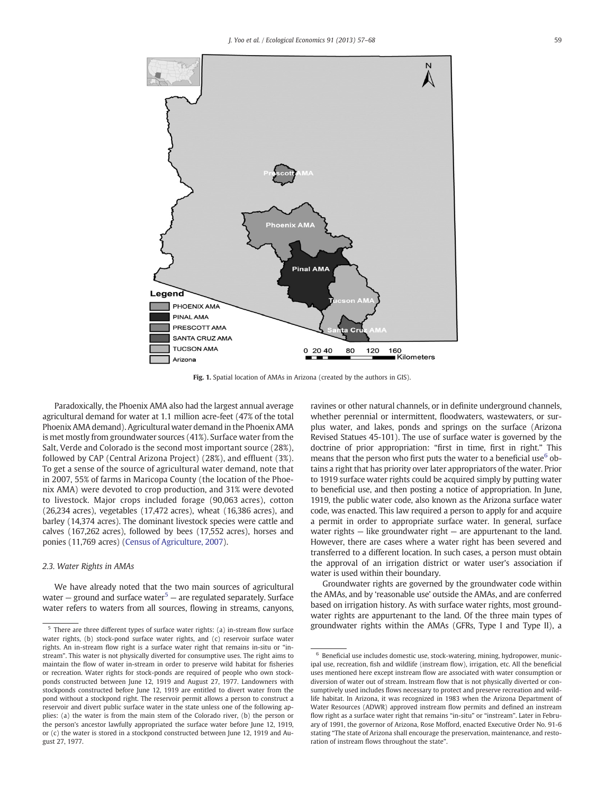<span id="page-2-0"></span>

Fig. 1. Spatial location of AMAs in Arizona (created by the authors in GIS).

Paradoxically, the Phoenix AMA also had the largest annual average agricultural demand for water at 1.1 million acre-feet (47% of the total Phoenix AMA demand). Agricultural water demand in the Phoenix AMA is met mostly from groundwater sources (41%). Surface water from the Salt, Verde and Colorado is the second most important source (28%), followed by CAP (Central Arizona Project) (28%), and effluent (3%). To get a sense of the source of agricultural water demand, note that in 2007, 55% of farms in Maricopa County (the location of the Phoenix AMA) were devoted to crop production, and 31% were devoted to livestock. Major crops included forage (90,063 acres), cotton (26,234 acres), vegetables (17,472 acres), wheat (16,386 acres), and barley (14,374 acres). The dominant livestock species were cattle and calves (167,262 acres), followed by bees (17,552 acres), horses and ponies (11,769 acres) [\(Census of Agriculture, 2007\)](#page-10-0).

# 2.3. Water Rights in AMAs

We have already noted that the two main sources of agricultural water  $-$  ground and surface water<sup>5</sup>  $-$  are regulated separately. Surface water refers to waters from all sources, flowing in streams, canyons, ravines or other natural channels, or in definite underground channels, whether perennial or intermittent, floodwaters, wastewaters, or surplus water, and lakes, ponds and springs on the surface (Arizona Revised Statues 45-101). The use of surface water is governed by the doctrine of prior appropriation: "first in time, first in right." This means that the person who first puts the water to a beneficial use  $6$  obtains a right that has priority over later appropriators of the water. Prior to 1919 surface water rights could be acquired simply by putting water to beneficial use, and then posting a notice of appropriation. In June, 1919, the public water code, also known as the Arizona surface water code, was enacted. This law required a person to apply for and acquire a permit in order to appropriate surface water. In general, surface water rights  $-$  like groundwater right  $-$  are appurtenant to the land. However, there are cases where a water right has been severed and transferred to a different location. In such cases, a person must obtain the approval of an irrigation district or water user's association if water is used within their boundary.

Groundwater rights are governed by the groundwater code within the AMAs, and by 'reasonable use' outside the AMAs, and are conferred based on irrigation history. As with surface water rights, most groundwater rights are appurtenant to the land. Of the three main types of  $\frac{1}{5}$  There are three different types of surface water rights: (a) in-stream flow surface groundwater rights within the AMAs (GFRs, Type I and Type II), a

water rights, (b) stock-pond surface water rights, and (c) reservoir surface water rights. An in-stream flow right is a surface water right that remains in-situ or "instream". This water is not physically diverted for consumptive uses. The right aims to maintain the flow of water in-stream in order to preserve wild habitat for fisheries or recreation. Water rights for stock-ponds are required of people who own stockponds constructed between June 12, 1919 and August 27, 1977. Landowners with stockponds constructed before June 12, 1919 are entitled to divert water from the pond without a stockpond right. The reservoir permit allows a person to construct a reservoir and divert public surface water in the state unless one of the following applies: (a) the water is from the main stem of the Colorado river, (b) the person or the person's ancestor lawfully appropriated the surface water before June 12, 1919, or (c) the water is stored in a stockpond constructed between June 12, 1919 and August 27, 1977.

Beneficial use includes domestic use, stock-watering, mining, hydropower, municipal use, recreation, fish and wildlife (instream flow), irrigation, etc. All the beneficial uses mentioned here except instream flow are associated with water consumption or diversion of water out of stream. Instream flow that is not physically diverted or consumptively used includes flows necessary to protect and preserve recreation and wildlife habitat. In Arizona, it was recognized in 1983 when the Arizona Department of Water Resources (ADWR) approved instream flow permits and defined an instream flow right as a surface water right that remains "in-situ" or "instream". Later in February of 1991, the governor of Arizona, Rose Mofford, enacted Executive Order No. 91-6 stating "The state of Arizona shall encourage the preservation, maintenance, and restoration of instream flows throughout the state".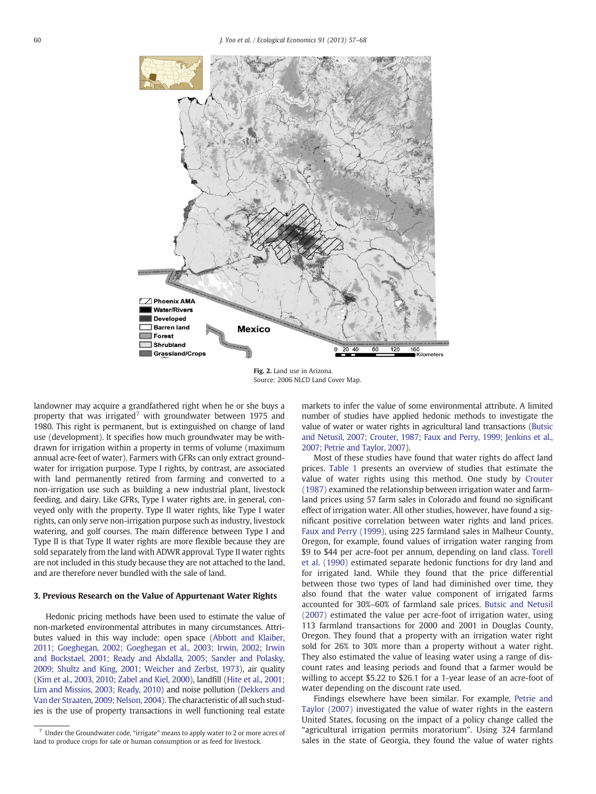<span id="page-3-0"></span>

Fig. 2. Land use in Arizona. Source: 2006 NLCD Land Cover Map.

landowner may acquire a grandfathered right when he or she buys a property that was irrigated<sup>7</sup> with groundwater between 1975 and 1980. This right is permanent, but is extinguished on change of land use (development). It specifies how much groundwater may be withdrawn for irrigation within a property in terms of volume (maximum annual acre-feet of water). Farmers with GFRs can only extract groundwater for irrigation purpose. Type I rights, by contrast, are associated with land permanently retired from farming and converted to a non-irrigation use such as building a new industrial plant, livestock feeding, and dairy. Like GFRs, Type I water rights are, in general, conveyed only with the property. Type II water rights, like Type I water rights, can only serve non-irrigation purpose such as industry, livestock watering, and golf courses. The main difference between Type I and Type II is that Type II water rights are more flexible because they are sold separately from the land with ADWR approval. Type II water rights are not included in this study because they are not attached to the land, and are therefore never bundled with the sale of land.

# 3. Previous Research on the Value of Appurtenant Water Rights

Hedonic pricing methods have been used to estimate the value of non-marketed environmental attributes in many circumstances. Attributes valued in this way include: open space [\(Abbott and Klaiber,](#page-10-0) [2011; Goeghegan, 2002; Goeghegan et al., 2003; Irwin, 2002; Irwin](#page-10-0) [and Bockstael, 2001; Ready and Abdalla, 2005; Sander and Polasky,](#page-10-0) [2009; Shultz and King, 2001; Weicher and Zerbst, 1973](#page-10-0)), air quality [\(Kim et al., 2003, 2010; Zabel and Kiel, 2000\)](#page-10-0), landfill [\(Hite et al., 2001;](#page-10-0) [Lim and Missios, 2003; Ready, 2010\)](#page-10-0) and noise pollution ([Dekkers and](#page-10-0) [Van der Straaten, 2009; Nelson, 2004](#page-10-0)). The characteristic of all such studies is the use of property transactions in well functioning real estate markets to infer the value of some environmental attribute. A limited number of studies have applied hedonic methods to investigate the value of water or water rights in agricultural land transactions ([Butsic](#page-10-0) [and Netusil, 2007; Crouter, 1987; Faux and Perry, 1999; Jenkins et al.,](#page-10-0) [2007; Petrie and Taylor, 2007](#page-10-0)).

Most of these studies have found that water rights do affect land prices. [Table 1](#page-4-0) presents an overview of studies that estimate the value of water rights using this method. One study by [Crouter](#page-10-0) [\(1987\)](#page-10-0) examined the relationship between irrigation water and farmland prices using 57 farm sales in Colorado and found no significant effect of irrigation water. All other studies, however, have found a significant positive correlation between water rights and land prices. [Faux and Perry \(1999\)](#page-10-0), using 225 farmland sales in Malheur County, Oregon, for example, found values of irrigation water ranging from \$9 to \$44 per acre-foot per annum, depending on land class. [Torell](#page-11-0) [et al. \(1990\)](#page-11-0) estimated separate hedonic functions for dry land and for irrigated land. While they found that the price differential between those two types of land had diminished over time, they also found that the water value component of irrigated farms accounted for 30%–60% of farmland sale prices. [Butsic and Netusil](#page-10-0) [\(2007\)](#page-10-0) estimated the value per acre-foot of irrigation water, using 113 farmland transactions for 2000 and 2001 in Douglas County, Oregon. They found that a property with an irrigation water right sold for 26% to 30% more than a property without a water right. They also estimated the value of leasing water using a range of discount rates and leasing periods and found that a farmer would be willing to accept \$5.22 to \$26.1 for a 1-year lease of an acre-foot of water depending on the discount rate used.

Findings elsewhere have been similar. For example, [Petrie and](#page-10-0) [Taylor \(2007\)](#page-10-0) investigated the value of water rights in the eastern United States, focusing on the impact of a policy change called the "agricultural irrigation permits moratorium". Using 324 farmland sales in the state of Georgia, they found the value of water rights

 $7$  Under the Groundwater code, "irrigate" means to apply water to 2 or more acres of land to produce crops for sale or human consumption or as feed for livestock.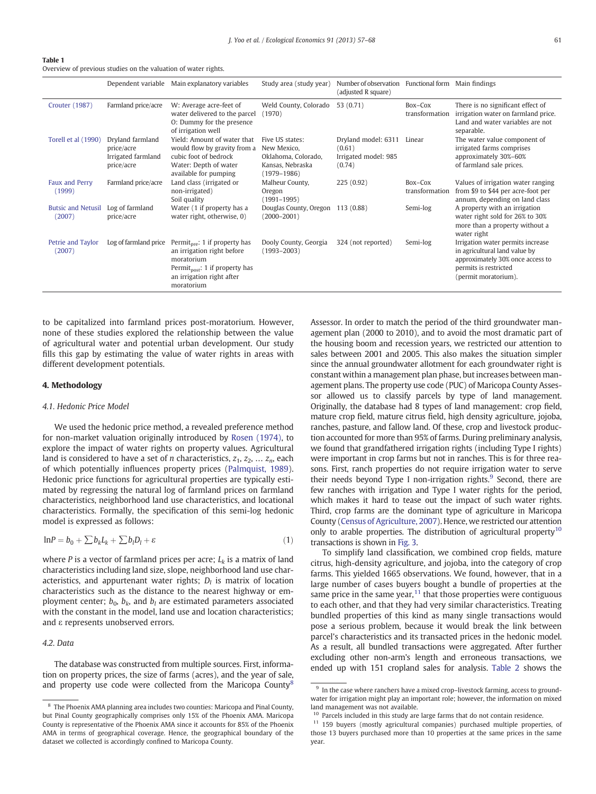#### <span id="page-4-0"></span>Table 1

Overview of previous studies on the valuation of water rights.

|                                     | Dependent variable                                                 | Main explanatory variables                                                                                                                                                      | Study area (study year)                                                                      | Number of observation Functional form<br>(adjusted R square)    |                             | Main findings                                                                                                                                           |
|-------------------------------------|--------------------------------------------------------------------|---------------------------------------------------------------------------------------------------------------------------------------------------------------------------------|----------------------------------------------------------------------------------------------|-----------------------------------------------------------------|-----------------------------|---------------------------------------------------------------------------------------------------------------------------------------------------------|
| <b>Crouter (1987)</b>               | Farmland price/acre                                                | W: Average acre-feet of<br>water delivered to the parcel<br>O: Dummy for the presence<br>of irrigation well                                                                     | Weld County, Colorado<br>(1970)                                                              | 53(0.71)                                                        | $Box-Cox$<br>transformation | There is no significant effect of<br>irrigation water on farmland price.<br>Land and water variables are not<br>separable.                              |
| <b>Torell et al (1990)</b>          | Dryland farmland<br>price/acre<br>Irrigated farmland<br>price/acre | Yield: Amount of water that<br>would flow by gravity from a<br>cubic foot of bedrock<br>Water: Depth of water<br>available for pumping                                          | Five US states:<br>New Mexico,<br>Oklahoma, Colorado,<br>Kansas, Nebraska<br>$(1979 - 1986)$ | Dryland model: 6311<br>(0.61)<br>Irrigated model: 985<br>(0.74) | Linear                      | The water value component of<br>irrigated farms comprises<br>approximately 30%-60%<br>of farmland sale prices.                                          |
| Faux and Perry<br>(1999)            | Farmland price/acre                                                | Land class (irrigated or<br>non-irrigated)<br>Soil quality                                                                                                                      | Malheur County,<br>Oregon<br>$(1991 - 1995)$                                                 | 225(0.92)                                                       | Box-Cox<br>transformation   | Values of irrigation water ranging<br>from \$9 to \$44 per acre-foot per<br>annum, depending on land class                                              |
| <b>Butsic and Netusil</b><br>(2007) | Log of farmland<br>price/acre                                      | Water (1 if property has a<br>water right, otherwise, 0)                                                                                                                        | Douglas County, Oregon<br>$(2000 - 2001)$                                                    | 113 (0.88)                                                      | Semi-log                    | A property with an irrigation<br>water right sold for 26% to 30%<br>more than a property without a<br>water right                                       |
| Petrie and Taylor<br>(2007)         | Log of farmland price                                              | Permit <sub>pre</sub> : 1 if property has<br>an irrigation right before<br>moratorium<br>Permit $_{\text{post}}$ : 1 if property has<br>an irrigation right after<br>moratorium | Dooly County, Georgia<br>$(1993 - 2003)$                                                     | 324 (not reported)                                              | Semi-log                    | Irrigation water permits increase<br>in agricultural land value by<br>approximately 30% once access to<br>permits is restricted<br>(permit moratorium). |

to be capitalized into farmland prices post-moratorium. However, none of these studies explored the relationship between the value of agricultural water and potential urban development. Our study fills this gap by estimating the value of water rights in areas with different development potentials.

#### 4. Methodology

#### 4.1. Hedonic Price Model

We used the hedonic price method, a revealed preference method for non-market valuation originally introduced by [Rosen \(1974\)](#page-11-0), to explore the impact of water rights on property values. Agricultural land is considered to have a set of *n* characteristics,  $z_1$ ,  $z_2$ , ...  $z_n$ , each of which potentially influences property prices [\(Palmquist, 1989](#page-10-0)). Hedonic price functions for agricultural properties are typically estimated by regressing the natural log of farmland prices on farmland characteristics, neighborhood land use characteristics, and locational characteristics. Formally, the specification of this semi-log hedonic model is expressed as follows:

$$
ln P = b_0 + \sum b_k L_k + \sum b_l D_l + \varepsilon \tag{1}
$$

where P is a vector of farmland prices per acre;  $L_k$  is a matrix of land characteristics including land size, slope, neighborhood land use characteristics, and appurtenant water rights;  $D_l$  is matrix of location characteristics such as the distance to the nearest highway or employment center;  $b_0$ ,  $b_k$ , and  $b_l$  are estimated parameters associated with the constant in the model, land use and location characteristics; and ε represents unobserved errors.

#### 4.2. Data

The database was constructed from multiple sources. First, information on property prices, the size of farms (acres), and the year of sale, and property use code were collected from the Maricopa County<sup>8</sup> Assessor. In order to match the period of the third groundwater management plan (2000 to 2010), and to avoid the most dramatic part of the housing boom and recession years, we restricted our attention to sales between 2001 and 2005. This also makes the situation simpler since the annual groundwater allotment for each groundwater right is constant within a management plan phase, but increases between management plans. The property use code (PUC) of Maricopa County Assessor allowed us to classify parcels by type of land management. Originally, the database had 8 types of land management: crop field, mature crop field, mature citrus field, high density agriculture, jojoba, ranches, pasture, and fallow land. Of these, crop and livestock production accounted for more than 95% of farms. During preliminary analysis, we found that grandfathered irrigation rights (including Type I rights) were important in crop farms but not in ranches. This is for three reasons. First, ranch properties do not require irrigation water to serve their needs beyond Type I non-irrigation rights. $9$  Second, there are few ranches with irrigation and Type I water rights for the period, which makes it hard to tease out the impact of such water rights. Third, crop farms are the dominant type of agriculture in Maricopa County ([Census of Agriculture, 2007\)](#page-10-0). Hence, we restricted our attention only to arable properties. The distribution of agricultural property<sup>10</sup> transactions is shown in [Fig. 3](#page-6-0).

To simplify land classification, we combined crop fields, mature citrus, high-density agriculture, and jojoba, into the category of crop farms. This yielded 1665 observations. We found, however, that in a large number of cases buyers bought a bundle of properties at the same price in the same year, $11$  that those properties were contiguous to each other, and that they had very similar characteristics. Treating bundled properties of this kind as many single transactions would pose a serious problem, because it would break the link between parcel's characteristics and its transacted prices in the hedonic model. As a result, all bundled transactions were aggregated. After further excluding other non-arm's length and erroneous transactions, we ended up with 151 cropland sales for analysis. [Table 2](#page-6-0) shows the

<sup>&</sup>lt;sup>8</sup> The Phoenix AMA planning area includes two counties: Maricopa and Pinal County, but Pinal County geographically comprises only 15% of the Phoenix AMA. Maricopa County is representative of the Phoenix AMA since it accounts for 85% of the Phoenix AMA in terms of geographical coverage. Hence, the geographical boundary of the dataset we collected is accordingly confined to Maricopa County.

 $^9\,$  In the case where ranchers have a mixed crop–livestock farming, access to groundwater for irrigation might play an important role; however, the information on mixed land management was not available.

 $10$  Parcels included in this study are large farms that do not contain residence.

<sup>&</sup>lt;sup>11</sup> 159 buyers (mostly agricultural companies) purchased multiple properties, of those 13 buyers purchased more than 10 properties at the same prices in the same year.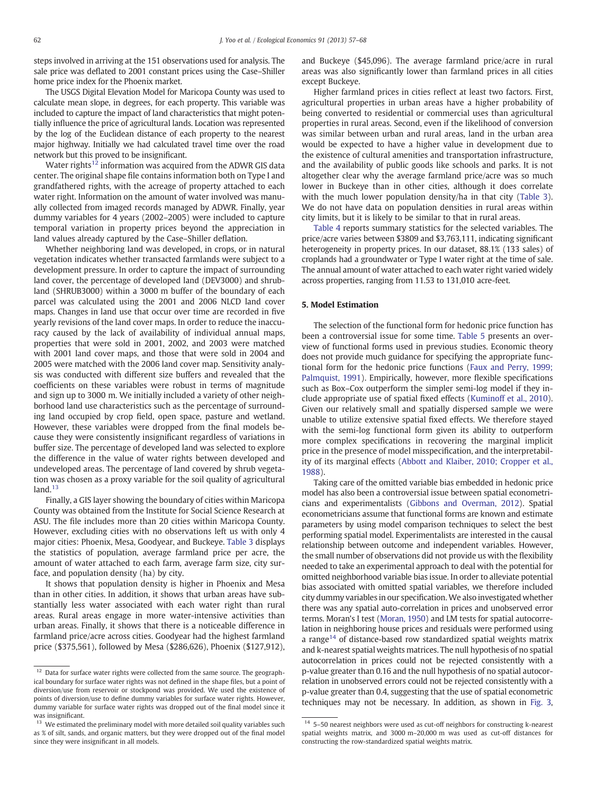steps involved in arriving at the 151 observations used for analysis. The sale price was deflated to 2001 constant prices using the Case–Shiller home price index for the Phoenix market.

The USGS Digital Elevation Model for Maricopa County was used to calculate mean slope, in degrees, for each property. This variable was included to capture the impact of land characteristics that might potentially influence the price of agricultural lands. Location was represented by the log of the Euclidean distance of each property to the nearest major highway. Initially we had calculated travel time over the road network but this proved to be insignificant.

Water rights<sup>12</sup> information was acquired from the ADWR GIS data center. The original shape file contains information both on Type I and grandfathered rights, with the acreage of property attached to each water right. Information on the amount of water involved was manually collected from imaged records managed by ADWR. Finally, year dummy variables for 4 years (2002–2005) were included to capture temporal variation in property prices beyond the appreciation in land values already captured by the Case–Shiller deflation.

Whether neighboring land was developed, in crops, or in natural vegetation indicates whether transacted farmlands were subject to a development pressure. In order to capture the impact of surrounding land cover, the percentage of developed land (DEV3000) and shrubland (SHRUB3000) within a 3000 m buffer of the boundary of each parcel was calculated using the 2001 and 2006 NLCD land cover maps. Changes in land use that occur over time are recorded in five yearly revisions of the land cover maps. In order to reduce the inaccuracy caused by the lack of availability of individual annual maps, properties that were sold in 2001, 2002, and 2003 were matched with 2001 land cover maps, and those that were sold in 2004 and 2005 were matched with the 2006 land cover map. Sensitivity analysis was conducted with different size buffers and revealed that the coefficients on these variables were robust in terms of magnitude and sign up to 3000 m. We initially included a variety of other neighborhood land use characteristics such as the percentage of surrounding land occupied by crop field, open space, pasture and wetland. However, these variables were dropped from the final models because they were consistently insignificant regardless of variations in buffer size. The percentage of developed land was selected to explore the difference in the value of water rights between developed and undeveloped areas. The percentage of land covered by shrub vegetation was chosen as a proxy variable for the soil quality of agricultural  $land.<sup>13</sup>$ 

Finally, a GIS layer showing the boundary of cities within Maricopa County was obtained from the Institute for Social Science Research at ASU. The file includes more than 20 cities within Maricopa County. However, excluding cities with no observations left us with only 4 major cities: Phoenix, Mesa, Goodyear, and Buckeye. [Table 3](#page-7-0) displays the statistics of population, average farmland price per acre, the amount of water attached to each farm, average farm size, city surface, and population density (ha) by city.

It shows that population density is higher in Phoenix and Mesa than in other cities. In addition, it shows that urban areas have substantially less water associated with each water right than rural areas. Rural areas engage in more water-intensive activities than urban areas. Finally, it shows that there is a noticeable difference in farmland price/acre across cities. Goodyear had the highest farmland price (\$375,561), followed by Mesa (\$286,626), Phoenix (\$127,912), and Buckeye (\$45,096). The average farmland price/acre in rural areas was also significantly lower than farmland prices in all cities except Buckeye.

Higher farmland prices in cities reflect at least two factors. First, agricultural properties in urban areas have a higher probability of being converted to residential or commercial uses than agricultural properties in rural areas. Second, even if the likelihood of conversion was similar between urban and rural areas, land in the urban area would be expected to have a higher value in development due to the existence of cultural amenities and transportation infrastructure, and the availability of public goods like schools and parks. It is not altogether clear why the average farmland price/acre was so much lower in Buckeye than in other cities, although it does correlate with the much lower population density/ha in that city ([Table 3](#page-7-0)). We do not have data on population densities in rural areas within city limits, but it is likely to be similar to that in rural areas.

[Table 4](#page-7-0) reports summary statistics for the selected variables. The price/acre varies between \$3809 and \$3,763,111, indicating significant heterogeneity in property prices. In our dataset, 88.1% (133 sales) of croplands had a groundwater or Type I water right at the time of sale. The annual amount of water attached to each water right varied widely across properties, ranging from 11.53 to 131,010 acre-feet.

# 5. Model Estimation

The selection of the functional form for hedonic price function has been a controversial issue for some time. [Table 5](#page-8-0) presents an overview of functional forms used in previous studies. Economic theory does not provide much guidance for specifying the appropriate functional form for the hedonic price functions ([Faux and Perry, 1999;](#page-10-0) [Palmquist, 1991\)](#page-10-0). Empirically, however, more flexible specifications such as Box–Cox outperform the simpler semi-log model if they include appropriate use of spatial fixed effects [\(Kuminoff et al., 2010](#page-10-0)). Given our relatively small and spatially dispersed sample we were unable to utilize extensive spatial fixed effects. We therefore stayed with the semi-log functional form given its ability to outperform more complex specifications in recovering the marginal implicit price in the presence of model misspecification, and the interpretability of its marginal effects ([Abbott and Klaiber, 2010; Cropper et al.,](#page-10-0) [1988\)](#page-10-0).

Taking care of the omitted variable bias embedded in hedonic price model has also been a controversial issue between spatial econometricians and experimentalists ([Gibbons and Overman, 2012\)](#page-10-0). Spatial econometricians assume that functional forms are known and estimate parameters by using model comparison techniques to select the best performing spatial model. Experimentalists are interested in the causal relationship between outcome and independent variables. However, the small number of observations did not provide us with the flexibility needed to take an experimental approach to deal with the potential for omitted neighborhood variable bias issue. In order to alleviate potential bias associated with omitted spatial variables, we therefore included city dummy variables in our specification.We also investigated whether there was any spatial auto-correlation in prices and unobserved error terms. Moran's I test [\(Moran, 1950](#page-10-0)) and LM tests for spatial autocorrelation in neighboring house prices and residuals were performed using a range $14$  of distance-based row standardized spatial weights matrix and k-nearest spatial weights matrices. The null hypothesis of no spatial autocorrelation in prices could not be rejected consistently with a p-value greater than 0.16 and the null hypothesis of no spatial autocorrelation in unobserved errors could not be rejected consistently with a p-value greater than 0.4, suggesting that the use of spatial econometric techniques may not be necessary. In addition, as shown in [Fig. 3,](#page-6-0)

 $12$  Data for surface water rights were collected from the same source. The geographical boundary for surface water rights was not defined in the shape files, but a point of diversion/use from reservoir or stockpond was provided. We used the existence of points of diversion/use to define dummy variables for surface water rights. However, dummy variable for surface water rights was dropped out of the final model since it was insignificant.

 $^{13}\,$  We estimated the preliminary model with more detailed soil quality variables such as % of silt, sands, and organic matters, but they were dropped out of the final model since they were insignificant in all models.

 $14\,$  5–50 nearest neighbors were used as cut-off neighbors for constructing k-nearest spatial weights matrix, and 3000 m–20,000 m was used as cut-off distances for constructing the row-standardized spatial weights matrix.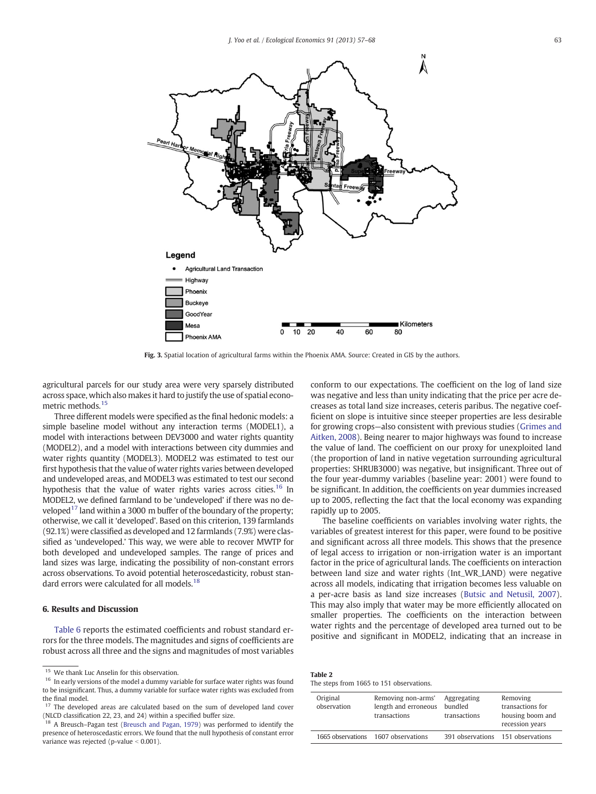<span id="page-6-0"></span>

Fig. 3. Spatial location of agricultural farms within the Phoenix AMA. Source: Created in GIS by the authors.

agricultural parcels for our study area were very sparsely distributed across space, which also makes it hard to justify the use of spatial econometric methods.<sup>15</sup>

Three different models were specified as the final hedonic models: a simple baseline model without any interaction terms (MODEL1), a model with interactions between DEV3000 and water rights quantity (MODEL2), and a model with interactions between city dummies and water rights quantity (MODEL3). MODEL2 was estimated to test our first hypothesis that the value of water rights varies between developed and undeveloped areas, and MODEL3 was estimated to test our second hypothesis that the value of water rights varies across cities.<sup>16</sup> In MODEL2, we defined farmland to be 'undeveloped' if there was no developed<sup>17</sup> land within a 3000 m buffer of the boundary of the property; otherwise, we call it 'developed'. Based on this criterion, 139 farmlands (92.1%) were classified as developed and 12 farmlands (7.9%) were classified as 'undeveloped.' This way, we were able to recover MWTP for both developed and undeveloped samples. The range of prices and land sizes was large, indicating the possibility of non-constant errors across observations. To avoid potential heteroscedasticity, robust standard errors were calculated for all models.<sup>18</sup>

# 6. Results and Discussion

[Table 6](#page-8-0) reports the estimated coefficients and robust standard errors for the three models. The magnitudes and signs of coefficients are robust across all three and the signs and magnitudes of most variables conform to our expectations. The coefficient on the log of land size was negative and less than unity indicating that the price per acre decreases as total land size increases, ceteris paribus. The negative coefficient on slope is intuitive since steeper properties are less desirable for growing crops—also consistent with previous studies ([Grimes and](#page-10-0) [Aitken, 2008](#page-10-0)). Being nearer to major highways was found to increase the value of land. The coefficient on our proxy for unexploited land (the proportion of land in native vegetation surrounding agricultural properties: SHRUB3000) was negative, but insignificant. Three out of the four year-dummy variables (baseline year: 2001) were found to be significant. In addition, the coefficients on year dummies increased up to 2005, reflecting the fact that the local economy was expanding rapidly up to 2005.

The baseline coefficients on variables involving water rights, the variables of greatest interest for this paper, were found to be positive and significant across all three models. This shows that the presence of legal access to irrigation or non-irrigation water is an important factor in the price of agricultural lands. The coefficients on interaction between land size and water rights (Int\_WR\_LAND) were negative across all models, indicating that irrigation becomes less valuable on a per-acre basis as land size increases ([Butsic and Netusil, 2007](#page-10-0)). This may also imply that water may be more efficiently allocated on smaller properties. The coefficients on the interaction between water rights and the percentage of developed area turned out to be positive and significant in MODEL2, indicating that an increase in

Table 2 The steps from 1665 to 151 observations.

| Original<br>observation | Removing non-arms'<br>length and erroneous<br>transactions | Aggregating<br>bundled<br>transactions | Removing<br>transactions for<br>housing boom and<br>recession years |
|-------------------------|------------------------------------------------------------|----------------------------------------|---------------------------------------------------------------------|
|                         | 1665 observations 1607 observations                        | 391 observations 151 observations      |                                                                     |

<sup>&</sup>lt;sup>15</sup> We thank Luc Anselin for this observation.

<sup>&</sup>lt;sup>16</sup> In early versions of the model a dummy variable for surface water rights was found to be insignificant. Thus, a dummy variable for surface water rights was excluded from the final model.

 $17$  The developed areas are calculated based on the sum of developed land cover (NLCD classification 22, 23, and 24) within a specified buffer size.

<sup>&</sup>lt;sup>18</sup> A Breusch–Pagan test [\(Breusch and Pagan, 1979](#page-10-0)) was performed to identify the presence of heteroscedastic errors. We found that the null hypothesis of constant error variance was rejected (p-value  $< 0.001$ ).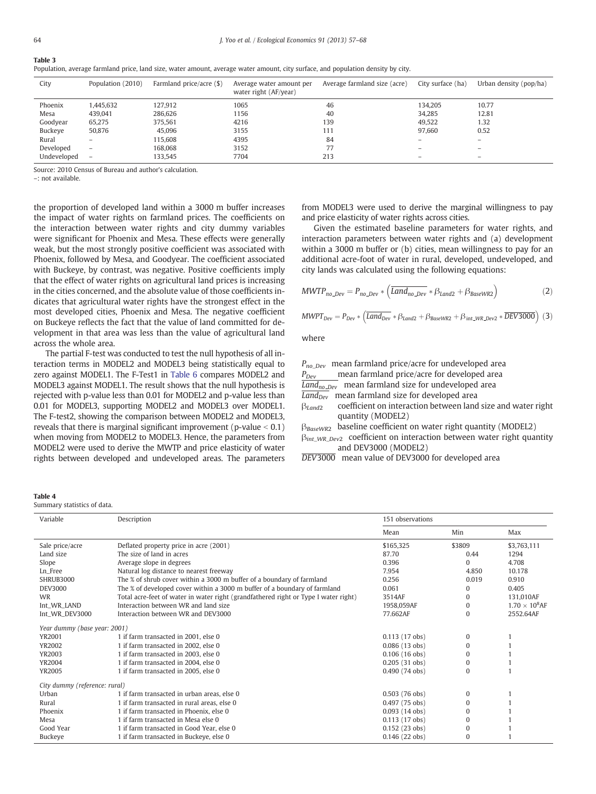| City        | Population (2010)        | Farmland price/acre (\$) | Average water amount per<br>water right (AF/year) | Average farmland size (acre) | City surface (ha) | Urban density (pop/ha)   |
|-------------|--------------------------|--------------------------|---------------------------------------------------|------------------------------|-------------------|--------------------------|
| Phoenix     | 1.445.632                | 127.912                  | 1065                                              | 46                           | 134.205           | 10.77                    |
| Mesa        | 439.041                  | 286,626                  | 1156                                              | 40                           | 34,285            | 12.81                    |
| Goodyear    | 65,275                   | 375,561                  | 4216                                              | 139                          | 49,522            | 1.32                     |
| Buckeye     | 50.876                   | 45.096                   | 3155                                              | 111                          | 97.660            | 0.52                     |
| Rural       | -                        | 115,608                  | 4395                                              | 84                           |                   | $\overline{\phantom{0}}$ |
| Developed   | $\overline{\phantom{0}}$ | 168,068                  | 3152                                              |                              |                   | $\overline{\phantom{0}}$ |
| Undeveloped | -                        | 133.545                  | 7704                                              | 213                          |                   | $\overline{\phantom{0}}$ |

Population, average farmland price, land size, water amount, average water amount, city surface, and population density by city.

Source: 2010 Census of Bureau and author's calculation.

–: not available.

the proportion of developed land within a 3000 m buffer increases the impact of water rights on farmland prices. The coefficients on the interaction between water rights and city dummy variables were significant for Phoenix and Mesa. These effects were generally weak, but the most strongly positive coefficient was associated with Phoenix, followed by Mesa, and Goodyear. The coefficient associated with Buckeye, by contrast, was negative. Positive coefficients imply that the effect of water rights on agricultural land prices is increasing in the cities concerned, and the absolute value of those coefficients indicates that agricultural water rights have the strongest effect in the most developed cities, Phoenix and Mesa. The negative coefficient on Buckeye reflects the fact that the value of land committed for development in that area was less than the value of agricultural land across the whole area.

The partial F-test was conducted to test the null hypothesis of all interaction terms in MODEL2 and MODEL3 being statistically equal to zero against MODEL1. The F-Test1 in [Table 6](#page-8-0) compares MODEL2 and MODEL3 against MODEL1. The result shows that the null hypothesis is rejected with p-value less than 0.01 for MODEL2 and p-value less than 0.01 for MODEL3, supporting MODEL2 and MODEL3 over MODEL1. The F-test2, showing the comparison between MODEL2 and MODEL3, reveals that there is marginal significant improvement (p-value  $< 0.1$ ) when moving from MODEL2 to MODEL3. Hence, the parameters from MODEL2 were used to derive the MWTP and price elasticity of water rights between developed and undeveloped areas. The parameters

from MODEL3 were used to derive the marginal willingness to pay and price elasticity of water rights across cities.

Given the estimated baseline parameters for water rights, and interaction parameters between water rights and (a) development within a 3000 m buffer or (b) cities, mean willingness to pay for an additional acre-foot of water in rural, developed, undeveloped, and city lands was calculated using the following equations:

$$
MWTP_{no\_Dev} = P_{no\_Dev} * (\overline{Land_{no\_Dev}} * \beta_{Land2} + \beta_{BaseWR2})
$$
 (2)

$$
MWPT_{Dev} = P_{Dev} * (\overline{Land_{Dev}} * \beta_{Land2} + \beta_{BaseWR2} + \beta_{int\_WR\_Dev2} * \overline{DEV3000})
$$
 (3)

where

 $P_{no\ Dev}$  mean farmland price/acre for undeveloped area

 $P_{Dev}$  mean farmland price/acre for developed area

 $\overline{Land_{no\_Dev}}$  mean farmland size for undeveloped area

 $\overline{Land_{Dev}}$  mean farmland size for developed area

 $\beta_{Land2}$  coefficient on interaction between land size and water right quantity (MODEL2)

 $\beta_{BaseWR2}$  baseline coefficient on water right quantity (MODEL2)

 $\beta_{int\_WR\_Dev2}$  coefficient on interaction between water right quantity and DEV3000 (MODEL2)

DEV3000 mean value of DEV3000 for developed area

| $\sim$<br>. . |  |
|---------------|--|
|---------------|--|

| Summary statistics of data. |  |  |
|-----------------------------|--|--|
|                             |  |  |

| Variable                      | Description                                                                         | 151 observations        |          |                       |
|-------------------------------|-------------------------------------------------------------------------------------|-------------------------|----------|-----------------------|
|                               |                                                                                     | Mean                    | Min      | Max                   |
| Sale price/acre               | Deflated property price in acre (2001)                                              | \$165,325               | \$3809   | \$3,763,111           |
| Land size                     | The size of land in acres                                                           | 87.70                   | 0.44     | 1294                  |
| Slope                         | Average slope in degrees                                                            | 0.396                   | $\Omega$ | 4.708                 |
| Ln Free                       | Natural log distance to nearest freeway                                             | 7.954                   | 4.850    | 10.178                |
| SHRUB3000                     | The % of shrub cover within a 3000 m buffer of a boundary of farmland               | 0.256                   | 0.019    | 0.910                 |
| DEV3000                       | The % of developed cover within a 3000 m buffer of a boundary of farmland           | 0.061                   | $\Omega$ | 0.405                 |
| <b>WR</b>                     | Total acre-feet of water in water right (grandfathered right or Type I water right) | 3514AF                  | $\bf{0}$ | 131,010AF             |
| Int_WR_LAND                   | Interaction between WR and land size                                                | 1958.059AF              | $\Omega$ | $1.70 \times 10^8$ AF |
| Int_WR_DEV3000                | Interaction between WR and DEV3000                                                  | 77.662AF                | $\Omega$ | 2552.64AF             |
| Year dummy (base year: 2001)  |                                                                                     |                         |          |                       |
| YR2001                        | 1 if farm transacted in 2001, else 0                                                | $0.113(17$ obs)         | $\Omega$ |                       |
| <b>YR2002</b>                 | 1 if farm transacted in 2002, else 0                                                | $0.086(13 \text{ obs})$ | $\Omega$ |                       |
| <b>YR2003</b>                 | 1 if farm transacted in 2003, else 0                                                | $0.106(16 \text{ obs})$ | 0        |                       |
| <b>YR2004</b>                 | 1 if farm transacted in 2004, else 0                                                | $0.205(31 \text{ obs})$ | $\Omega$ |                       |
| <b>YR2005</b>                 | 1 if farm transacted in 2005, else 0                                                | 0.490 (74 obs)          | $\bf{0}$ |                       |
| City dummy (reference: rural) |                                                                                     |                         |          |                       |
| Urban                         | 1 if farm transacted in urban areas, else 0                                         | $0.503(76 \text{ obs})$ | $\bf{0}$ |                       |
| Rural                         | 1 if farm transacted in rural areas, else 0                                         | $0.497(75$ obs)         | $\Omega$ |                       |
| Phoenix                       | 1 if farm transacted in Phoenix, else 0                                             | $0.093(14 \text{ obs})$ | $\Omega$ |                       |
| Mesa                          | 1 if farm transacted in Mesa else 0                                                 | $0.113(17$ obs)         | $\Omega$ |                       |
| Good Year                     | 1 if farm transacted in Good Year, else 0                                           | $0.152(23$ obs)         | 0        |                       |
| Buckeye                       | 1 if farm transacted in Buckeye, else 0                                             | $0.146(22 \text{ obs})$ | $\Omega$ |                       |

<span id="page-7-0"></span>Table 3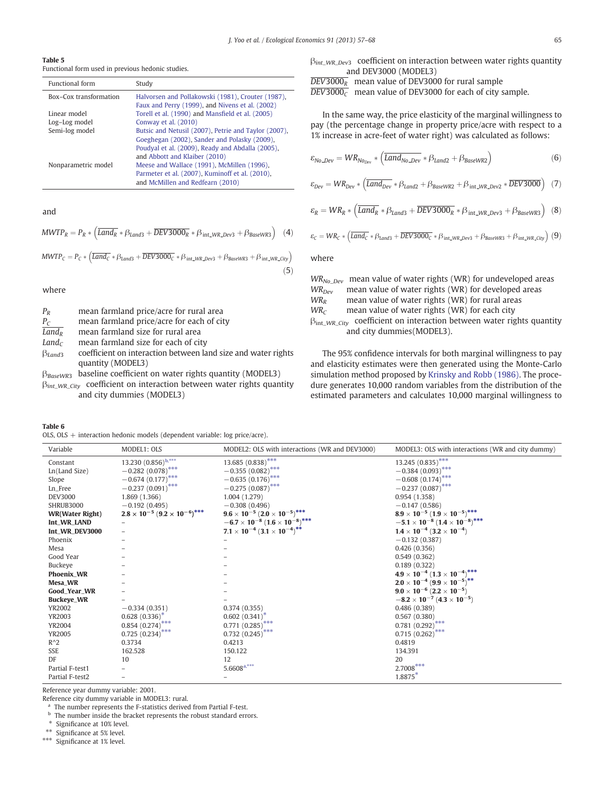<span id="page-8-0"></span>Table 5

Functional form used in previous hedonic studies.

| <b>Functional form</b> | Study                                                                                                                                                                                     |
|------------------------|-------------------------------------------------------------------------------------------------------------------------------------------------------------------------------------------|
| Box-Cox transformation | Halvorsen and Pollakowski (1981), Crouter (1987),<br>Faux and Perry (1999), and Nivens et al. (2002)                                                                                      |
| Linear model           | Torell et al. (1990) and Mansfield et al. (2005)                                                                                                                                          |
| Log-Log model          | Conway et al. (2010)                                                                                                                                                                      |
| Semi-log model         | Butsic and Netusil (2007), Petrie and Taylor (2007),<br>Goeghegan (2002), Sander and Polasky (2009),<br>Poudyal et al. (2009), Ready and Abdalla (2005),<br>and Abbott and Klaiber (2010) |
| Nonparametric model    | Meese and Wallace (1991), McMillen (1996),<br>Parmeter et al. (2007), Kuminoff et al. (2010),<br>and McMillen and Redfearn (2010)                                                         |

and

$$
MWTP_R = P_R * \left(\overline{Land_R} * \beta_{Land3} + \overline{DEV3000_R} * \beta_{int\_WR\_Dev3} + \beta_{BaseWR3}\right) \tag{4}
$$

$$
MWTP_C = P_C * \left(\overline{Land_C} * \beta_{Land3} + \overline{DEV3000_C} * \beta_{int.WR\_Dev3} + \beta_{BaseWR3} + \beta_{int.WR\_City}\right)
$$
\n(5)

where

| $P_R$                | mean farmland price/acre for rural area                         |
|----------------------|-----------------------------------------------------------------|
| $P_C$                | mean farmland price/acre for each of city                       |
| $L$ and <sub>R</sub> | mean farmland size for rural area                               |
| Land <sub>c</sub>    | mean farmland size for each of city                             |
| $\beta$ Land3        | coefficient on interaction between land size and water rights   |
|                      | quantity (MODEL3)                                               |
| $\beta_{BaseWR3}$    | baseline coefficient on water rights quantity (MODEL3)          |
|                      | Burrow coefficient on interaction between water rights quantity |

βint\_WR\_City coefficient on interaction between water rights quantity and city dummies (MODEL3)

## Table 6

OLS, OLS + interaction hedonic models (dependent variable: log price/acre).

βint\_WR\_Dev<sup>3</sup> coefficient on interaction between water rights quantity and DEV3000 (MODEL3)

 $\overline{DEV3000_R}$  mean value of DEV3000 for rural sample

 $\overline{DEV3000_c}$  mean value of DEV3000 for each of city sample.

In the same way, the price elasticity of the marginal willingness to pay (the percentage change in property price/acre with respect to a 1% increase in acre-feet of water right) was calculated as follows:

$$
\varepsilon_{No\_{Dev}} = WR_{No_{Dev}} * \left(\overline{Land_{No\_{Dev}}} * \beta_{Land2} + \beta_{BaseWR2}\right)
$$
(6)

$$
\varepsilon_{Dev} = WR_{Dev} * \left(\overline{Land_{Dev}} * \beta_{Land2} + \beta_{BaseWR2} + \beta_{int\_WR\_Dev2} * \overline{DEV3000}\right) (7)
$$

$$
\varepsilon_R = WR_R * \left(\overline{Land_R} * \beta_{Land3} + \overline{DEV3000_R} * \beta_{int\_WR\_Dev3} + \beta_{BaseWR3}\right)
$$
 (8)

$$
\varepsilon_C = WR_C * (\overline{Land_C} * \beta_{Land3} + \overline{DEV3000_C} * \beta_{int\_WR\_Dev3} + \beta_{BaseWR3} + \beta_{int\_WR\_City})
$$
(9)

where

|                              | $WR_{No\ Dev}$ mean value of water rights (WR) for undeveloped areas |
|------------------------------|----------------------------------------------------------------------|
| $WR_{Dev}$                   | mean value of water rights (WR) for developed areas                  |
| $W{R_R}$                     | mean value of water rights (WR) for rural areas                      |
| WR <sub>c</sub>              | mean value of water rights (WR) for each city                        |
| $\beta_{\text{int}}$ WR City | coefficient on interaction between water rights quantity             |
|                              | and city dummies (MODEL3).                                           |

The 95% confidence intervals for both marginal willingness to pay and elasticity estimates were then generated using the Monte-Carlo simulation method proposed by [Krinsky and Robb \(1986\).](#page-10-0) The procedure generates 10,000 random variables from the distribution of the estimated parameters and calculates 10,000 marginal willingness to

| Variable               | MODEL1: OLS                                   | MODEL2: OLS with interactions (WR and DEV3000)   | MODEL3: OLS with interactions (WR and city dummy)                     |
|------------------------|-----------------------------------------------|--------------------------------------------------|-----------------------------------------------------------------------|
| Constant               | 13.230 $(0.856)^{\mathrm{b},\mathrm{***}}$    | $13.685\,\left(0.838\right)^{***}$               | 13.245 $\left(0.835\right)^{***}$                                     |
| Ln(Land Size)          | $-0.282(0.078)$ ***                           | $-0.355(0.082)$ ***                              | $-0.384(0.093)$ ***                                                   |
| Slope                  | $-0.674(0.177)$ ***                           | $-0.635(0.176)$ ***                              | $-0.608(0.174)$ ***                                                   |
| Ln_Free                | $-0.237(0.091)^{***}$                         | $-0.275(0.087)^{***}$                            | $-0.237(0.087)^{7}$                                                   |
| <b>DEV3000</b>         | 1.869 (1.366)                                 | 1.004 (1.279)                                    | 0.954(1.358)                                                          |
| SHRUB3000              | $-0.192(0.495)$                               | $-0.308(0.496)$                                  | $-0.147(0.586)$                                                       |
| <b>WR(Water Right)</b> | $2.8 \times 10^{-5} (9.2 \times 10^{-6})$ *** | $9.6\times10^{-5}\ (2.0\times10^{-5})^{***}$     | $8.9 \times 10^{-5} (1.9 \times 10^{-5})^{***}$                       |
| Int_WR_LAND            |                                               | $-6.7\times10^{-8}$ $(1.6\times10^{-8})^{***}$   | $-5.1 \times 10^{-8}$ (1.4 $\times$ 10 <sup>-8</sup> ) <sup>***</sup> |
| Int_WR_DEV3000         |                                               | $7.1 \times 10^{-4}$ $(3.1 \times 10^{-4})^{**}$ | $1.4 \times 10^{-4}$ (3.2 $\times$ 10 <sup>-4</sup> )                 |
| Phoenix                |                                               |                                                  | $-0.132(0.387)$                                                       |
| Mesa                   |                                               |                                                  | 0.426(0.356)                                                          |
| Good Year              |                                               |                                                  | 0.549(0.362)                                                          |
| Buckeye                |                                               |                                                  | 0.189(0.322)                                                          |
| <b>Phoenix_WR</b>      |                                               |                                                  | $4.9 \times 10^{-4}$ $(1.3 \times 10^{-4})$ ***                       |
| Mesa_WR                |                                               |                                                  | $2.0 \times 10^{-4}$ (9.9 $\times$ 10 <sup>-5</sup> ) <sup>**</sup>   |
| Good_Year_WR           |                                               |                                                  | $9.0 \times 10^{-6}$ (2.2 $\times$ 10 <sup>-5</sup> )                 |
| <b>Buckeye_WR</b>      |                                               |                                                  | $-8.2 \times 10^{-7}$ (4.3 $\times 10^{-5}$ )                         |
| <b>YR2002</b>          | $-0.334(0.351)$                               | 0.374(0.355)                                     | 0.486(0.389)                                                          |
| YR2003                 | $0.628(0.336)^*$                              | $0.602(0.341)^*$                                 | 0.567(0.380)                                                          |
| <b>YR2004</b>          | $0.854(0.274)$ ***                            | $0.771 (0.285)$ ***                              | $0.781~{(0.292)}^{***}$                                               |
| <b>YR2005</b>          | $0.725(0.234)$ ***                            | $0.732(0.245)$ ***                               | $0.715(0.262)$ ***                                                    |
| $R^2$                  | 0.3734                                        | 0.4213                                           | 0.4819                                                                |
| SSE                    | 162.528                                       | 150.122                                          | 134.391                                                               |
| DF                     | 10                                            | 12                                               | 20                                                                    |
| Partial F-test1        |                                               | $5.6608$ <sup>a,***</sup>                        | $2.7008***$                                                           |
| Partial F-test2        |                                               |                                                  | 1.8875*                                                               |

Reference year dummy variable: 2001.

Reference city dummy variable in MODEL3: rural.

<sup>a</sup> The number represents the F-statistics derived from Partial F-test.

b The number inside the bracket represents the robust standard errors.

Significance at 10% level.

\*\* Significance at 5% level.

\*\*\* Significance at 1% level.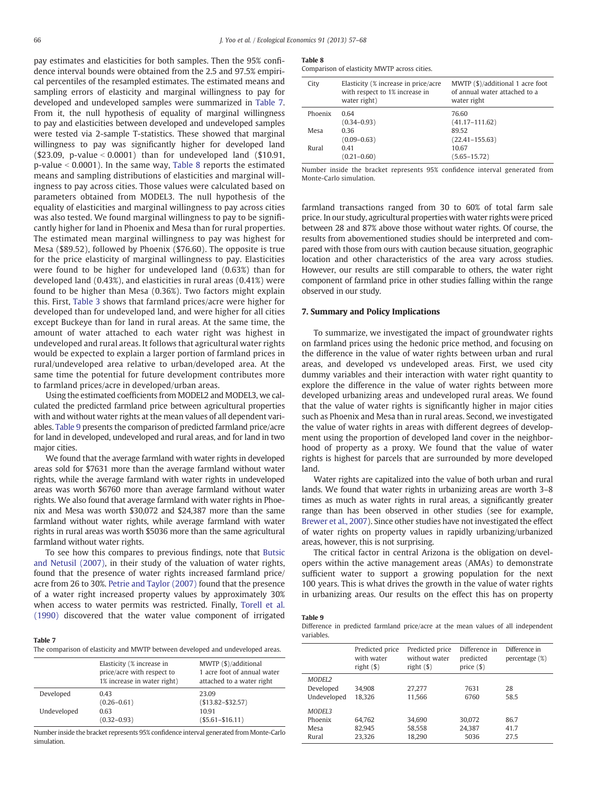pay estimates and elasticities for both samples. Then the 95% confidence interval bounds were obtained from the 2.5 and 97.5% empirical percentiles of the resampled estimates. The estimated means and sampling errors of elasticity and marginal willingness to pay for developed and undeveloped samples were summarized in Table 7. From it, the null hypothesis of equality of marginal willingness to pay and elasticities between developed and undeveloped samples were tested via 2-sample T-statistics. These showed that marginal willingness to pay was significantly higher for developed land  $$23.09$ , p-value  $< 0.0001$ ) than for undeveloped land (\$10.91,  $p$ -value  $\le 0.0001$ ). In the same way, Table 8 reports the estimated means and sampling distributions of elasticities and marginal willingness to pay across cities. Those values were calculated based on parameters obtained from MODEL3. The null hypothesis of the equality of elasticities and marginal willingness to pay across cities was also tested. We found marginal willingness to pay to be significantly higher for land in Phoenix and Mesa than for rural properties. The estimated mean marginal willingness to pay was highest for Mesa (\$89.52), followed by Phoenix (\$76.60). The opposite is true for the price elasticity of marginal willingness to pay. Elasticities were found to be higher for undeveloped land (0.63%) than for developed land (0.43%), and elasticities in rural areas (0.41%) were found to be higher than Mesa (0.36%). Two factors might explain this. First, [Table 3](#page-7-0) shows that farmland prices/acre were higher for developed than for undeveloped land, and were higher for all cities except Buckeye than for land in rural areas. At the same time, the amount of water attached to each water right was highest in undeveloped and rural areas. It follows that agricultural water rights would be expected to explain a larger portion of farmland prices in rural/undeveloped area relative to urban/developed area. At the same time the potential for future development contributes more to farmland prices/acre in developed/urban areas.

Using the estimated coefficients from MODEL2 and MODEL3, we calculated the predicted farmland price between agricultural properties with and without water rights at the mean values of all dependent variables. Table 9 presents the comparison of predicted farmland price/acre for land in developed, undeveloped and rural areas, and for land in two major cities.

We found that the average farmland with water rights in developed areas sold for \$7631 more than the average farmland without water rights, while the average farmland with water rights in undeveloped areas was worth \$6760 more than average farmland without water rights. We also found that average farmland with water rights in Phoenix and Mesa was worth \$30,072 and \$24,387 more than the same farmland without water rights, while average farmland with water rights in rural areas was worth \$5036 more than the same agricultural farmland without water rights.

To see how this compares to previous findings, note that [Butsic](#page-10-0) [and Netusil \(2007\),](#page-10-0) in their study of the valuation of water rights, found that the presence of water rights increased farmland price/ acre from 26 to 30%. [Petrie and Taylor \(2007\)](#page-10-0) found that the presence of a water right increased property values by approximately 30% when access to water permits was restricted. Finally, [Torell et al.](#page-11-0) [\(1990\)](#page-11-0) discovered that the water value component of irrigated

# Table 7

| The comparison of elasticity and MWTP between developed and undeveloped areas. |  |
|--------------------------------------------------------------------------------|--|
|--------------------------------------------------------------------------------|--|

|             | Elasticity (% increase in<br>price/acre with respect to<br>1% increase in water right) | MWTP (\$)/additional<br>1 acre foot of annual water<br>attached to a water right |
|-------------|----------------------------------------------------------------------------------------|----------------------------------------------------------------------------------|
| Developed   | 0.43<br>$(0.26 - 0.61)$                                                                | 23.09<br>$($13.82 - $32.57)$                                                     |
| Undeveloped | 0.63<br>$(0.32 - 0.93)$                                                                | 10.91<br>$($5.61 - $16.11)$                                                      |

Number inside the bracket represents 95% confidence interval generated from Monte-Carlo simulation.

#### Table 8

| Comparison of elasticity MWTP across cities. |  |  |
|----------------------------------------------|--|--|
|----------------------------------------------|--|--|

| City    | Elasticity (% increase in price/acre<br>with respect to 1% increase in<br>water right) | MWTP (\$)/additional 1 acre foot<br>of annual water attached to a<br>water right |
|---------|----------------------------------------------------------------------------------------|----------------------------------------------------------------------------------|
| Phoenix | 0.64<br>$(0.34 - 0.93)$                                                                | 76.60<br>$(41.17 - 111.62)$                                                      |
| Mesa    | 0.36<br>$(0.09 - 0.63)$                                                                | 89.52<br>$(22.41 - 155.63)$                                                      |
| Rural   | 0.41<br>$(0.21 - 0.60)$                                                                | 10.67<br>$(5.65 - 15.72)$                                                        |

Number inside the bracket represents 95% confidence interval generated from Monte-Carlo simulation.

farmland transactions ranged from 30 to 60% of total farm sale price. In our study, agricultural properties with water rights were priced between 28 and 87% above those without water rights. Of course, the results from abovementioned studies should be interpreted and compared with those from ours with caution because situation, geographic location and other characteristics of the area vary across studies. However, our results are still comparable to others, the water right component of farmland price in other studies falling within the range observed in our study.

### 7. Summary and Policy Implications

To summarize, we investigated the impact of groundwater rights on farmland prices using the hedonic price method, and focusing on the difference in the value of water rights between urban and rural areas, and developed vs undeveloped areas. First, we used city dummy variables and their interaction with water right quantity to explore the difference in the value of water rights between more developed urbanizing areas and undeveloped rural areas. We found that the value of water rights is significantly higher in major cities such as Phoenix and Mesa than in rural areas. Second, we investigated the value of water rights in areas with different degrees of development using the proportion of developed land cover in the neighborhood of property as a proxy. We found that the value of water rights is highest for parcels that are surrounded by more developed land.

Water rights are capitalized into the value of both urban and rural lands. We found that water rights in urbanizing areas are worth 3–8 times as much as water rights in rural areas, a significantly greater range than has been observed in other studies (see for example, [Brewer et al., 2007](#page-10-0)). Since other studies have not investigated the effect of water rights on property values in rapidly urbanizing/urbanized areas, however, this is not surprising.

The critical factor in central Arizona is the obligation on developers within the active management areas (AMAs) to demonstrate sufficient water to support a growing population for the next 100 years. This is what drives the growth in the value of water rights in urbanizing areas. Our results on the effect this has on property

#### Table 9

Difference in predicted farmland price/acre at the mean values of all independent variables.

|                    | Predicted price<br>with water<br>$right($ $$)$ | Predicted price<br>without water<br>$right($ $\$)$ | Difference in<br>predicted<br>price $($ \$) | Difference in<br>percentage $(\%)$ |
|--------------------|------------------------------------------------|----------------------------------------------------|---------------------------------------------|------------------------------------|
| MODEL <sub>2</sub> |                                                |                                                    |                                             |                                    |
| Developed          | 34.908                                         | 27.277                                             | 7631                                        | 28                                 |
| Undeveloped        | 18.326                                         | 11.566                                             | 6760                                        | 58.5                               |
| MODEL3             |                                                |                                                    |                                             |                                    |
| Phoenix            | 64.762                                         | 34.690                                             | 30.072                                      | 86.7                               |
| Mesa               | 82.945                                         | 58.558                                             | 24.387                                      | 41.7                               |
| Rural              | 23,326                                         | 18.290                                             | 5036                                        | 27.5                               |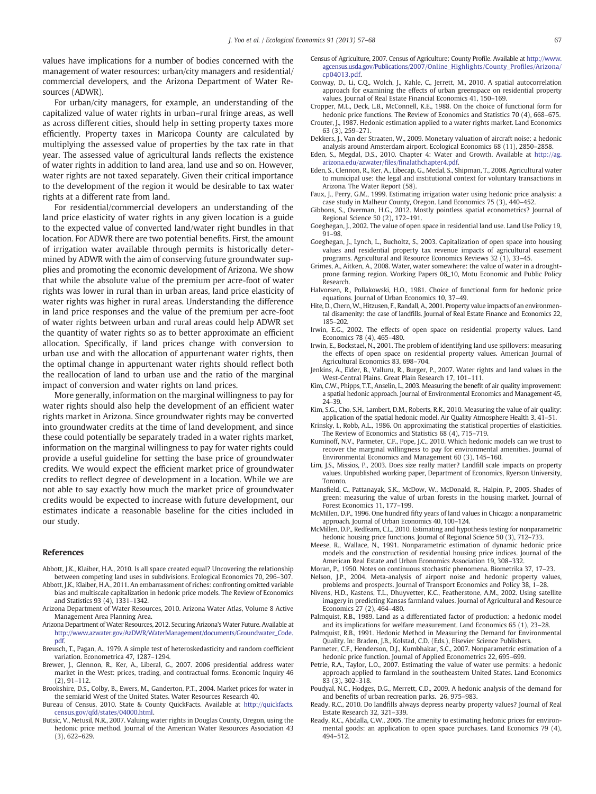<span id="page-10-0"></span>values have implications for a number of bodies concerned with the management of water resources: urban/city managers and residential/ commercial developers, and the Arizona Department of Water Resources (ADWR).

For urban/city managers, for example, an understanding of the capitalized value of water rights in urban–rural fringe areas, as well as across different cities, should help in setting property taxes more efficiently. Property taxes in Maricopa County are calculated by multiplying the assessed value of properties by the tax rate in that year. The assessed value of agricultural lands reflects the existence of water rights in addition to land area, land use and so on. However, water rights are not taxed separately. Given their critical importance to the development of the region it would be desirable to tax water rights at a different rate from land.

For residential/commercial developers an understanding of the land price elasticity of water rights in any given location is a guide to the expected value of converted land/water right bundles in that location. For ADWR there are two potential benefits. First, the amount of irrigation water available through permits is historically determined by ADWR with the aim of conserving future groundwater supplies and promoting the economic development of Arizona. We show that while the absolute value of the premium per acre-foot of water rights was lower in rural than in urban areas, land price elasticity of water rights was higher in rural areas. Understanding the difference in land price responses and the value of the premium per acre-foot of water rights between urban and rural areas could help ADWR set the quantity of water rights so as to better approximate an efficient allocation. Specifically, if land prices change with conversion to urban use and with the allocation of appurtenant water rights, then the optimal change in appurtenant water rights should reflect both the reallocation of land to urban use and the ratio of the marginal impact of conversion and water rights on land prices.

More generally, information on the marginal willingness to pay for water rights should also help the development of an efficient water rights market in Arizona. Since groundwater rights may be converted into groundwater credits at the time of land development, and since these could potentially be separately traded in a water rights market, information on the marginal willingness to pay for water rights could provide a useful guideline for setting the base price of groundwater credits. We would expect the efficient market price of groundwater credits to reflect degree of development in a location. While we are not able to say exactly how much the market price of groundwater credits would be expected to increase with future development, our estimates indicate a reasonable baseline for the cities included in our study.

#### References

- Abbott, J.K., Klaiber, H.A., 2010. Is all space created equal? Uncovering the relationship between competing land uses in subdivisions. Ecological Economics 70, 296–307.
- Abbott, J.K., Klaiber, H.A., 2011. An embarrassment of riches: confronting omitted variable bias and multiscale capitalization in hedonic price models. The Review of Economics and Statistics 93 (4), 1331–1342.
- Arizona Department of Water Resources, 2010. Arizona Water Atlas, Volume 8 Active Management Area Planning Area.
- Arizona Department of Water Resources, 2012. Securing Arizona's Water Future. Available at [http://www.azwater.gov/AzDWR/WaterManagement/documents/Groundwater\\_Code.](http://www.azwater.gov/AzDWR/WaterManagement/documents/Groundwater_Code.pdf) [pdf.](http://www.azwater.gov/AzDWR/WaterManagement/documents/Groundwater_Code.pdf)
- Breusch, T., Pagan, A., 1979. A simple test of heteroskedasticity and random coefficient variation. Econometrica 47, 1287–1294.
- Brewer, J., Glennon, R., Ker, A., Liberal, G., 2007. 2006 presidential address water market in the West: prices, trading, and contractual forms. Economic Inquiry 46 (2), 91–112.
- Brookshire, D.S., Colby, B., Ewers, M., Ganderton, P.T., 2004. Market prices for water in the semiarid West of the United States. Water Resources Research 40.
- Bureau of Census, 2010. State & County QuickFacts. Available at [http://quickfacts.](http://quickfacts.census.gov/qfd/states/04000.html) [census.gov/qfd/states/04000.html.](http://quickfacts.census.gov/qfd/states/04000.html)
- Butsic, V., Netusil, N.R., 2007. Valuing water rights in Douglas County, Oregon, using the hedonic price method. Journal of the American Water Resources Association 43 (3), 622–629.
- Census of Agriculture, 2007. Census of Agriculture: County Profile. Available at [http://www.](http://www.agcensus.usda.gov/Publications/2007/Online_Highlights/County_Profiles/Arizona/cp04013.pdf) [agcensus.usda.gov/Publications/2007/Online\\_Highlights/County\\_Pro](http://www.agcensus.usda.gov/Publications/2007/Online_Highlights/County_Profiles/Arizona/cp04013.pdf)files/Arizona/ [cp04013.pdf](http://www.agcensus.usda.gov/Publications/2007/Online_Highlights/County_Profiles/Arizona/cp04013.pdf).
- Conway, D., Li, C.Q., Wolch, J., Kahle, C., Jerrett, M., 2010. A spatial autocorrelation approach for examining the effects of urban greenspace on residential property values. Journal of Real Estate Financial Economics 41, 150–169.
- Cropper, M.L., Deck, L.B., McConnell, K.E., 1988. On the choice of functional form for hedonic price functions. The Review of Economics and Statistics 70 (4), 668–675.
- Crouter, J., 1987. Hedonic estimation applied to a water rights market. Land Economics 63 (3), 259–271.
- Dekkers, J., Van der Straaten, W., 2009. Monetary valuation of aircraft noise: a hedonic analysis around Amsterdam airport. Ecological Economics 68 (11), 2850–2858.
- Eden, S., Megdal, D.S., 2010. Chapter 4: Water and Growth. Available at [http://ag.](http://ag.arizona.edu/azwater/files/finalathchapter4.pdf) [arizona.edu/azwater/](http://ag.arizona.edu/azwater/files/finalathchapter4.pdf)files/finalathchapter4.pdf.
- Eden, S., Clennon, R., Ker, A., Libecap, G., Medal, S., Shipman, T., 2008. Agricultural water to municipal use: the legal and institutional context for voluntary transactions in Arizona. The Water Report (58).
- Faux, J., Perry, G.M., 1999. Estimating irrigation water using hedonic price analysis: a case study in Malheur County, Oregon. Land Economics 75 (3), 440–452.
- Gibbons, S., Overman, H.G., 2012. Mostly pointless spatial econometrics? Journal of Regional Science 50 (2), 172–191.
- Goeghegan, J., 2002. The value of open space in residential land use. Land Use Policy 19, 91–98.
- Goeghegan, J., Lynch, L., Bucholtz, S., 2003. Capitalization of open space into housing values and residential property tax revenue impacts of agricultural easement programs. Agricultural and Resource Economics Reviews 32 (1), 33–45.
- Grimes, A., Aitken, A., 2008. Water, water somewhere: the value of water in a droughtprone farming region. Working Papers 08\_10, Motu Economic and Public Policy Research.
- Halvorsen, R., Pollakowski, H.O., 1981. Choice of functional form for hedonic price equations. Journal of Urban Economics 10, 37–49.
- Hite, D., Chern, W., Hitzusen, F., Randall, A., 2001. Property value impacts of an environmental disamenity: the case of landfills. Journal of Real Estate Finance and Economics 22, 185–202.
- Irwin, E.G., 2002. The effects of open space on residential property values. Land Economics 78 (4), 465–480.
- Irwin, E., Bockstael, N., 2001. The problem of identifying land use spillovers: measuring the effects of open space on residential property values. American Journal of Agricultural Economics 83, 698–704.
- Jenkins, A., Elder, B., Valluru, R., Burger, P., 2007. Water rights and land values in the West-Central Plains. Great Plain Research 17, 101–111.
- Kim, C.W., Phipps, T.T., Anselin, L., 2003. Measuring the benefit of air quality improvement: a spatial hedonic approach. Journal of Environmental Economics and Management 45, 24–39.
- Kim, S.G., Cho, S.H., Lambert, D.M., Roberts, R.K., 2010. Measuring the value of air quality: application of the spatial hedonic model. Air Quality Atmosphere Health 3, 41–51.
- Krinsky, I., Robb, A.L., 1986. On approximating the statistical properties of elasticities. The Review of Economics and Statistics 68 (4), 715–719.
- Kuminoff, N.V., Parmeter, C.F., Pope, J.C., 2010. Which hedonic models can we trust to recover the marginal willingness to pay for environmental amenities. Journal of Environmental Economics and Management 60 (3), 145–160.
- Lim, J.S., Missios, P., 2003. Does size really matter? Landfill scale impacts on property values. Unpublished working paper, Department of Economics, Ryerson University, Toronto.
- Mansfield, C., Pattanayak, S.K., McDow, W., McDonald, R., Halpin, P., 2005. Shades of green: measuring the value of urban forests in the housing market. Journal of Forest Economics 11, 177–199.
- McMillen, D.P., 1996. One hundred fifty years of land values in Chicago: a nonparametric approach. Journal of Urban Economics 40, 100–124.
- McMillen, D.P., Redfearn, C.L., 2010. Estimating and hypothesis testing for nonparametric hedonic housing price functions. Journal of Regional Science 50 (3), 712-733.
- Meese, R., Wallace, N., 1991. Nonparametric estimation of dynamic hedonic price models and the construction of residential housing price indices. Journal of the American Real Estate and Urban Economics Association 19, 308–332.
- Moran, P., 1950. Notes on continuous stochastic phenomena. Biometrika 37, 17–23.
- Nelson, J.P., 2004. Meta-analysis of airport noise and hedonic property values, problems and prospects. Journal of Transport Economics and Policy 38, 1–28.
- Nivens, H.D., Kastens, T.L., Dhuyvetter, K.C., Featherstone, A.M., 2002. Using satellite imagery in predicting Kansas farmland values. Journal of Agricultural and Resource Economics 27 (2), 464–480.
- Palmquist, R.B., 1989. Land as a differentiated factor of production: a hedonic model and its implications for welfare measurement. Land Economics 65 (1), 23–28.
- Palmquist, R.B., 1991. Hedonic Method in Measuring the Demand for Environmental Quality. In: Braden, J.B., Kolstad, C.D. (Eds.), Elsevier Science Publishers.
- Parmeter, C.F., Henderson, D.J., Kumbhakar, S.C., 2007. Nonparametric estimation of a hedonic price function. Journal of Applied Econometrics 22, 695–699.
- Petrie, R.A., Taylor, L.O., 2007. Estimating the value of water use permits: a hedonic approach applied to farmland in the southeastern United States. Land Economics 83 (3), 302–318.
- Poudyal, N.C., Hodges, D.G., Merrett, C.D., 2009. A hedonic analysis of the demand for and benefits of urban recreation parks. 26, 975–983.
- Ready, R.C., 2010. Do landfills always depress nearby property values? Journal of Real Estate Research 32, 321–339.
- Ready, R.C., Abdalla, C.W., 2005. The amenity to estimating hedonic prices for environmental goods: an application to open space purchases. Land Economics 79 (4), 494–512.